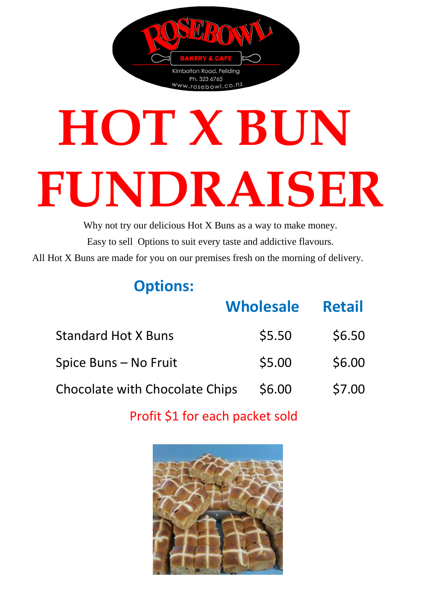

# **HOT X BUN FUNDRAISER**

Why not try our delicious Hot X Buns as a way to make money. Easy to sell Options to suit every taste and addictive flavours. All Hot X Buns are made for you on our premises fresh on the morning of delivery.

#### **Options:**

|                                       | <b>Wholesale</b> | <b>Retail</b> |
|---------------------------------------|------------------|---------------|
| <b>Standard Hot X Buns</b>            | \$5.50           | \$6.50        |
| Spice Buns - No Fruit                 | \$5.00           | \$6.00        |
| <b>Chocolate with Chocolate Chips</b> | \$6.00           | \$7.00        |

Profit \$1 for each packet sold

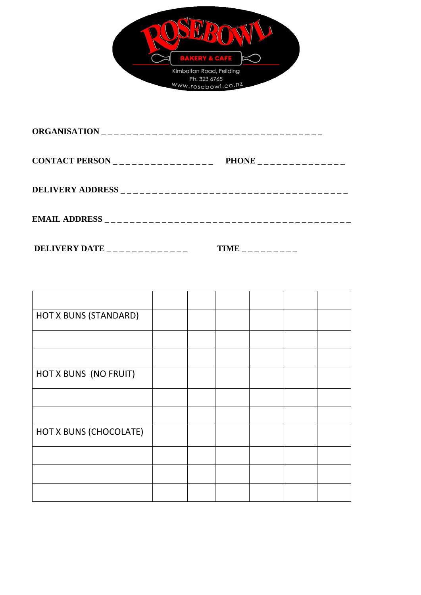

| CONTACT PERSON $\overline{\phantom{a}}$ = $\overline{\phantom{a}}$ = $\overline{\phantom{a}}$ = $\overline{\phantom{a}}$ = $\overline{\phantom{a}}$ = $\overline{\phantom{a}}$ = $\overline{\phantom{a}}$ = $\overline{\phantom{a}}$ = $\overline{\phantom{a}}$ = $\overline{\phantom{a}}$ = $\overline{\phantom{a}}$ = $\overline{\phantom{a}}$ = $\overline{\phantom{a}}$ = $\overline{\phantom{a}}$ = $\overline{\phantom{a}}$ | PHONE _______________ |
|-----------------------------------------------------------------------------------------------------------------------------------------------------------------------------------------------------------------------------------------------------------------------------------------------------------------------------------------------------------------------------------------------------------------------------------|-----------------------|
|                                                                                                                                                                                                                                                                                                                                                                                                                                   |                       |
|                                                                                                                                                                                                                                                                                                                                                                                                                                   |                       |

**DELIVERY DATE \_ \_ \_ \_ \_ \_ \_ \_ \_ \_ \_ \_ \_ TIME \_ \_ \_ \_ \_ \_ \_ \_ \_**

| HOT X BUNS (STANDARD)  |  |  |  |
|------------------------|--|--|--|
|                        |  |  |  |
|                        |  |  |  |
| HOT X BUNS (NO FRUIT)  |  |  |  |
|                        |  |  |  |
|                        |  |  |  |
| HOT X BUNS (CHOCOLATE) |  |  |  |
|                        |  |  |  |
|                        |  |  |  |
|                        |  |  |  |